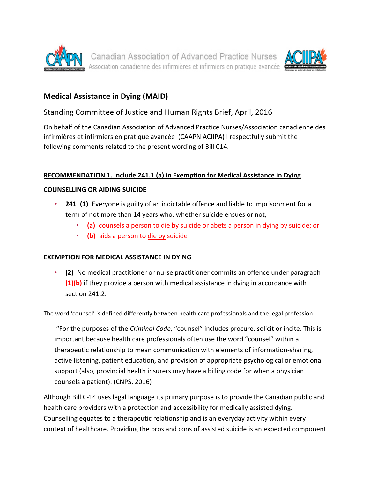



# **Medical Assistance in Dying (MAID)**

## Standing Committee of Justice and Human Rights Brief, April, 2016

On behalf of the Canadian Association of Advanced Practice Nurses/Association canadienne des infirmières et infirmiers en pratique avancée (CAAPN ACIIPA) I respectfully submit the following comments related to the present wording of Bill C14.

### **RECOMMENDATION 1. Include 241.1 (a) in Exemption for Medical Assistance in Dying**

#### **COUNSELLING OR AIDING SUICIDE**

- **241 (1)** Everyone is guilty of an indictable offence and liable to imprisonment for a term of not more than 14 years who, whether suicide ensues or not,
	- (a) counsels a person to die by suicide or abets a person in dying by suicide; or
	- **(b)** aids a person to die by suicide

### **EXEMPTION FOR MEDICAL ASSISTANCE IN DYING**

• (2) No medical practitioner or nurse practitioner commits an offence under paragraph **(1)(b)** if they provide a person with medical assistance in dying in accordance with section 241.2.

The word 'counsel' is defined differently between health care professionals and the legal profession.

"For the purposes of the *Criminal Code*, "counsel" includes procure, solicit or incite. This is important because health care professionals often use the word "counsel" within a therapeutic relationship to mean communication with elements of information-sharing, active listening, patient education, and provision of appropriate psychological or emotional support (also, provincial health insurers may have a billing code for when a physician counsels a patient). (CNPS, 2016)

Although Bill C-14 uses legal language its primary purpose is to provide the Canadian public and health care providers with a protection and accessibility for medically assisted dying. Counselling equates to a therapeutic relationship and is an everyday activity within every context of healthcare. Providing the pros and cons of assisted suicide is an expected component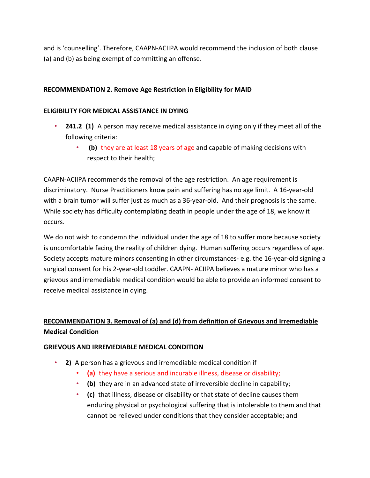and is 'counselling'. Therefore, CAAPN-ACIIPA would recommend the inclusion of both clause (a) and (b) as being exempt of committing an offense.

### **RECOMMENDATION 2. Remove Age Restriction in Eligibility for MAID**

#### **ELIGIBILITY FOR MEDICAL ASSISTANCE IN DYING**

- **241.2 (1)** A person may receive medical assistance in dying only if they meet all of the following criteria:
	- **(b)** they are at least 18 years of age and capable of making decisions with respect to their health;

CAAPN-ACIIPA recommends the removal of the age restriction. An age requirement is discriminatory. Nurse Practitioners know pain and suffering has no age limit. A 16-year-old with a brain tumor will suffer just as much as a 36-year-old. And their prognosis is the same. While society has difficulty contemplating death in people under the age of 18, we know it occurs. 

We do not wish to condemn the individual under the age of 18 to suffer more because society is uncomfortable facing the reality of children dying. Human suffering occurs regardless of age. Society accepts mature minors consenting in other circumstances- e.g. the 16-year-old signing a surgical consent for his 2-year-old toddler. CAAPN- ACIIPA believes a mature minor who has a grievous and irremediable medical condition would be able to provide an informed consent to receive medical assistance in dying.

# **RECOMMENDATION 3. Removal of (a) and (d) from definition of Grievous and Irremediable Medical Condition**

### **GRIEVOUS AND IRREMEDIABLE MEDICAL CONDITION**

- **2)** A person has a grievous and irremediable medical condition if
	- (a) they have a serious and incurable illness, disease or disability;
	- **(b)** they are in an advanced state of irreversible decline in capability;
	- (c) that illness, disease or disability or that state of decline causes them enduring physical or psychological suffering that is intolerable to them and that cannot be relieved under conditions that they consider acceptable; and